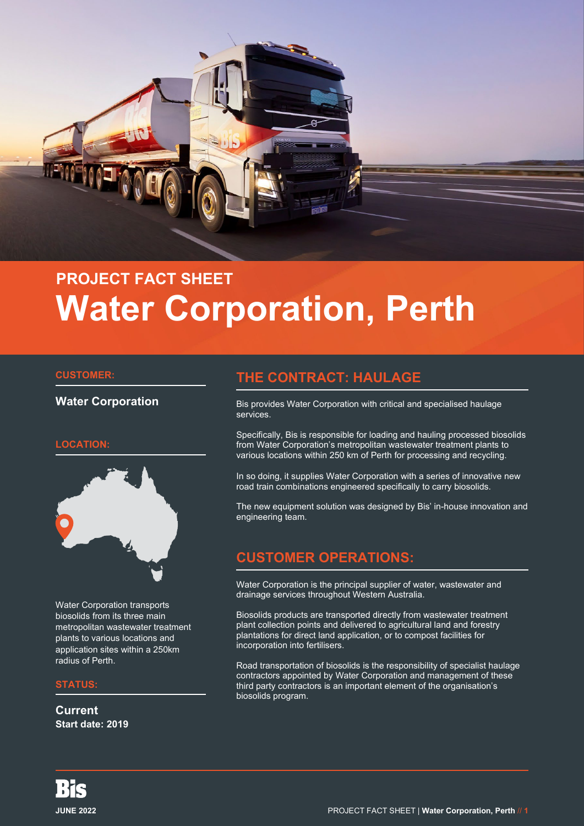

# **PROJECT FACT SHEET Water Corporation, Perth**

#### **CUSTOMER:**

#### **Water Corporation**

#### **LOCATION:**



Water Corporation transports biosolids from its three main metropolitan wastewater treatment plants to various locations and application sites within a 250km radius of Perth.

#### **STATUS:**

**Current Start date: 2019**

## **THE CONTRACT: HAULAGE**

Bis provides Water Corporation with critical and specialised haulage services.

Specifically, Bis is responsible for loading and hauling processed biosolids from Water Corporation's metropolitan wastewater treatment plants to various locations within 250 km of Perth for processing and recycling.

In so doing, it supplies Water Corporation with a series of innovative new road train combinations engineered specifically to carry biosolids.

The new equipment solution was designed by Bis' in-house innovation and engineering team.

# **CUSTOMER OPERATIONS:**

Water Corporation is the principal supplier of water, wastewater and drainage services throughout Western Australia.

Biosolids products are transported directly from wastewater treatment plant collection points and delivered to agricultural land and forestry plantations for direct land application, or to compost facilities for incorporation into fertilisers.

Road transportation of biosolids is the responsibility of specialist haulage contractors appointed by Water Corporation and management of these third party contractors is an important element of the organisation's biosolids program.